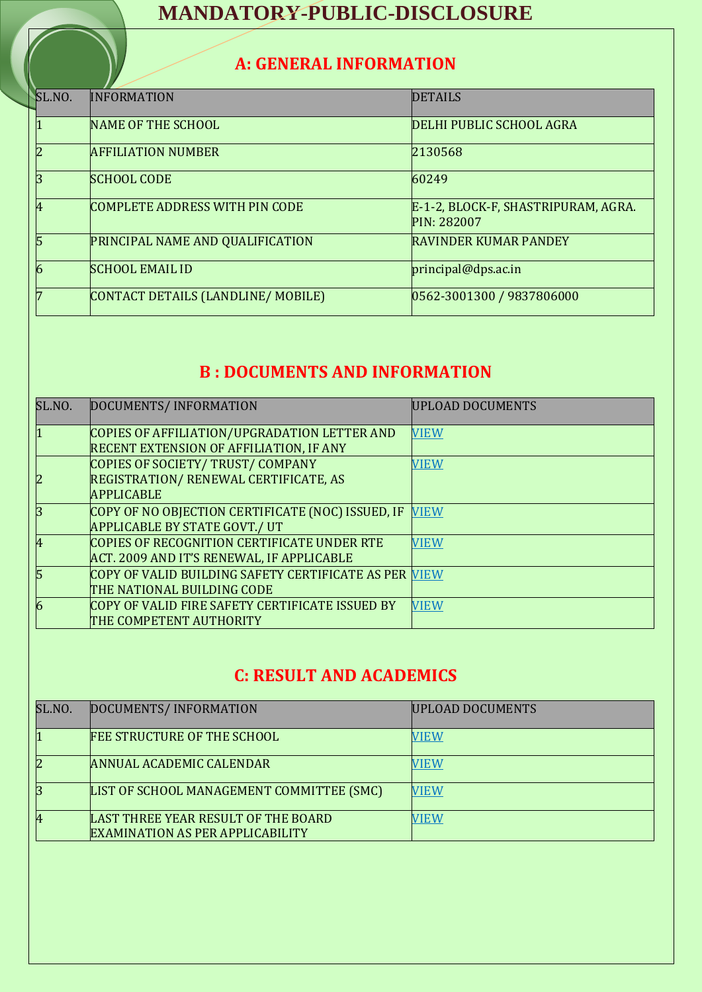# **MANDATORY-PUBLIC-DISCLOSURE**

## **A: GENERAL INFORMATION**

| SL.NO. | <b>INFORMATION</b>                      | <b>DETAILS</b>                                            |
|--------|-----------------------------------------|-----------------------------------------------------------|
| 1      | NAME OF THE SCHOOL                      | DELHI PUBLIC SCHOOL AGRA                                  |
| 2      | <b>AFFILIATION NUMBER</b>               | 2130568                                                   |
| 3      | <b>SCHOOL CODE</b>                      | 60249                                                     |
| 4      | COMPLETE ADDRESS WITH PIN CODE          | E-1-2, BLOCK-F, SHASTRIPURAM, AGRA.<br><b>PIN: 282007</b> |
| 5      | <b>PRINCIPAL NAME AND QUALIFICATION</b> | <b>RAVINDER KUMAR PANDEY</b>                              |
| 6      | <b>SCHOOL EMAIL ID</b>                  | principal@dps.ac.in                                       |
| 7      | CONTACT DETAILS (LANDLINE/MOBILE)       | 0562-3001300 / 9837806000                                 |

## **B : DOCUMENTS AND INFORMATION**

| SL.NO.         | DOCUMENTS/INFORMATION                                 | <b>UPLOAD DOCUMENTS</b> |
|----------------|-------------------------------------------------------|-------------------------|
| $\overline{1}$ | COPIES OF AFFILIATION/UPGRADATION LETTER AND          | <b>VIEW</b>             |
|                | <b>RECENT EXTENSION OF AFFILIATION, IF ANY</b>        |                         |
|                | COPIES OF SOCIETY/ TRUST/ COMPANY                     | <b>VIEW</b>             |
| 2              | REGISTRATION/RENEWAL CERTIFICATE, AS                  |                         |
|                | <b>APPLICABLE</b>                                     |                         |
| 3              | COPY OF NO OBJECTION CERTIFICATE (NOC) ISSUED, IF     | <b>VIEW</b>             |
|                | <b>APPLICABLE BY STATE GOVT./ UT</b>                  |                         |
| 4              | COPIES OF RECOGNITION CERTIFICATE UNDER RTE           | <b>VIEW</b>             |
|                | ACT. 2009 AND IT'S RENEWAL, IF APPLICABLE             |                         |
| 5              | COPY OF VALID BUILDING SAFETY CERTIFICATE AS PER VIEW |                         |
|                | THE NATIONAL BUILDING CODE                            |                         |
| 6              | COPY OF VALID FIRE SAFETY CERTIFICATE ISSUED BY       | <b>VIEW</b>             |
|                | THE COMPETENT AUTHORITY                               |                         |

#### **C: RESULT AND ACADEMICS**

| SL.NO. | DOCUMENTS/INFORMATION                                                          | UPLOAD DOCUMENTS |
|--------|--------------------------------------------------------------------------------|------------------|
|        | <b>FEE STRUCTURE OF THE SCHOOL</b>                                             | VIEW             |
| 2      | <b>ANNUAL ACADEMIC CALENDAR</b>                                                | <b>TEW</b>       |
|        | LIST OF SCHOOL MANAGEMENT COMMITTEE (SMC)                                      | VIEW             |
| 4      | LAST THREE YEAR RESULT OF THE BOARD<br><b>EXAMINATION AS PER APPLICABILITY</b> | <b>/IEW</b>      |